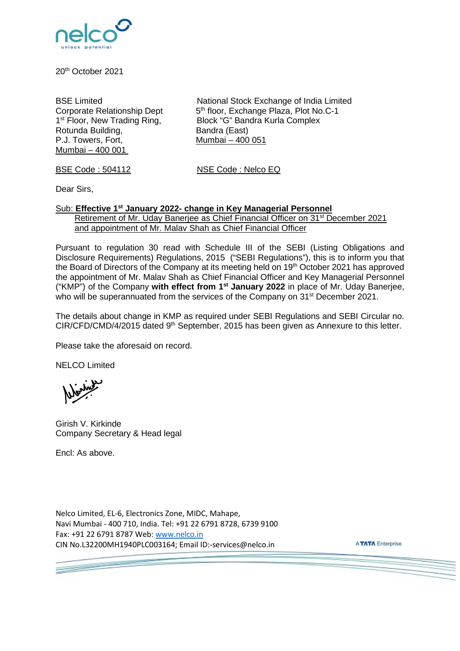

20th October 2021

Rotunda Building, Bandra (East)<br>P.J. Towers. Fort. 6. Mumbai – 400 Mumbai – 400 001

BSE Limited **National Stock Exchange of India Limited Corporate Relationship Dept** 5<sup>th</sup> floor, Exchange Plaza, Plot No.C-1 5<sup>th</sup> floor, Exchange Plaza, Plot No.C-1 1<sup>st</sup> Floor, New Trading Ring, Block "G" Bandra Kurla Complex  $Mumbai - 400$  051

BSE Code : 504112 NSE Code : Nelco EQ

Dear Sirs,

## Sub: **Effective 1st January 2022- change in Key Managerial Personnel** Retirement of Mr. Uday Banerjee as Chief Financial Officer on 31st December 2021 and appointment of Mr. Malav Shah as Chief Financial Officer

Pursuant to regulation 30 read with Schedule III of the SEBI (Listing Obligations and Disclosure Requirements) Regulations, 2015 ("SEBI Regulations"), this is to inform you that the Board of Directors of the Company at its meeting held on 19<sup>th</sup> October 2021 has approved the appointment of Mr. Malav Shah as Chief Financial Officer and Key Managerial Personnel ("KMP") of the Company **with effect from 1st January 2022** in place of Mr. Uday Banerjee, who will be superannuated from the services of the Company on 31<sup>st</sup> December 2021.

The details about change in KMP as required under SEBI Regulations and SEBI Circular no. CIR/CFD/CMD/4/2015 dated 9<sup>th</sup> September, 2015 has been given as Annexure to this letter.

Please take the aforesaid on record.

NELCO Limited

Girish V. Kirkinde Company Secretary & Head legal

Encl: As above.

**September** 

Nelco Limited, EL-6, Electronics Zone, MIDC, Mahape, Navi Mumbai - 400 710, India. Tel: +91 22 6791 8728, 6739 9100 Fax: +91 22 6791 8787 Web: [www.nelco.in](http://www.nelco.in/)  CIN No.L32200MH1940PLC003164; Email ID:-services@nelco.in

**ATATA Enterprise**